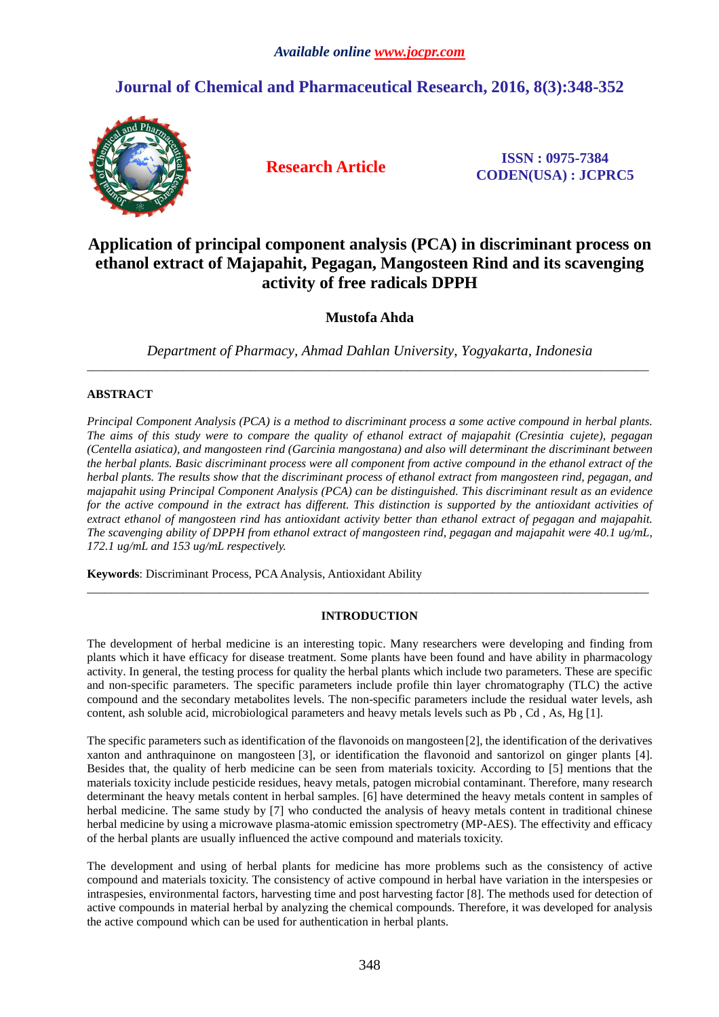# **Journal of Chemical and Pharmaceutical Research, 2016, 8(3):348-352**



**Research Article ISSN : 0975-7384 CODEN(USA) : JCPRC5**

# **Application of principal component analysis (PCA) in discriminant process on ethanol extract of Majapahit, Pegagan, Mangosteen Rind and its scavenging activity of free radicals DPPH**

# **Mustofa Ahda**

*Department of Pharmacy, Ahmad Dahlan University, Yogyakarta, Indonesia*  \_\_\_\_\_\_\_\_\_\_\_\_\_\_\_\_\_\_\_\_\_\_\_\_\_\_\_\_\_\_\_\_\_\_\_\_\_\_\_\_\_\_\_\_\_\_\_\_\_\_\_\_\_\_\_\_\_\_\_\_\_\_\_\_\_\_\_\_\_\_\_\_\_\_\_\_\_\_\_\_\_\_\_\_\_\_\_\_\_\_\_\_\_

## **ABSTRACT**

*Principal Component Analysis (PCA) is a method to discriminant process a some active compound in herbal plants. The aims of this study were to compare the quality of ethanol extract of majapahit (Cresintia cujete), pegagan (Centella asiatica), and mangosteen rind (Garcinia mangostana) and also will determinant the discriminant between the herbal plants. Basic discriminant process were all component from active compound in the ethanol extract of the herbal plants. The results show that the discriminant process of ethanol extract from mangosteen rind, pegagan, and majapahit using Principal Component Analysis (PCA) can be distinguished. This discriminant result as an evidence for the active compound in the extract has different. This distinction is supported by the antioxidant activities of extract ethanol of mangosteen rind has antioxidant activity better than ethanol extract of pegagan and majapahit. The scavenging ability of DPPH from ethanol extract of mangosteen rind, pegagan and majapahit were 40.1 ug/mL, 172.1 ug/mL and 153 ug/mL respectively.* 

**Keywords**: Discriminant Process, PCA Analysis, Antioxidant Ability

## **INTRODUCTION**

\_\_\_\_\_\_\_\_\_\_\_\_\_\_\_\_\_\_\_\_\_\_\_\_\_\_\_\_\_\_\_\_\_\_\_\_\_\_\_\_\_\_\_\_\_\_\_\_\_\_\_\_\_\_\_\_\_\_\_\_\_\_\_\_\_\_\_\_\_\_\_\_\_\_\_\_\_\_\_\_\_\_\_\_\_\_\_\_\_\_\_\_\_

The development of herbal medicine is an interesting topic. Many researchers were developing and finding from plants which it have efficacy for disease treatment. Some plants have been found and have ability in pharmacology activity. In general, the testing process for quality the herbal plants which include two parameters. These are specific and non-specific parameters. The specific parameters include profile thin layer chromatography (TLC) the active compound and the secondary metabolites levels. The non-specific parameters include the residual water levels, ash content, ash soluble acid, microbiological parameters and heavy metals levels such as Pb , Cd , As, Hg [1].

The specific parameters such as identification of the flavonoids on mangosteen [2], the identification of the derivatives xanton and anthraquinone on mangosteen [3], or identification the flavonoid and santorizol on ginger plants [4]. Besides that, the quality of herb medicine can be seen from materials toxicity. According to [5] mentions that the materials toxicity include pesticide residues, heavy metals, patogen microbial contaminant. Therefore, many research determinant the heavy metals content in herbal samples. [6] have determined the heavy metals content in samples of herbal medicine. The same study by [7] who conducted the analysis of heavy metals content in traditional chinese herbal medicine by using a microwave plasma-atomic emission spectrometry (MP-AES). The effectivity and efficacy of the herbal plants are usually influenced the active compound and materials toxicity.

The development and using of herbal plants for medicine has more problems such as the consistency of active compound and materials toxicity. The consistency of active compound in herbal have variation in the interspesies or intraspesies, environmental factors, harvesting time and post harvesting factor [8]. The methods used for detection of active compounds in material herbal by analyzing the chemical compounds. Therefore, it was developed for analysis the active compound which can be used for authentication in herbal plants.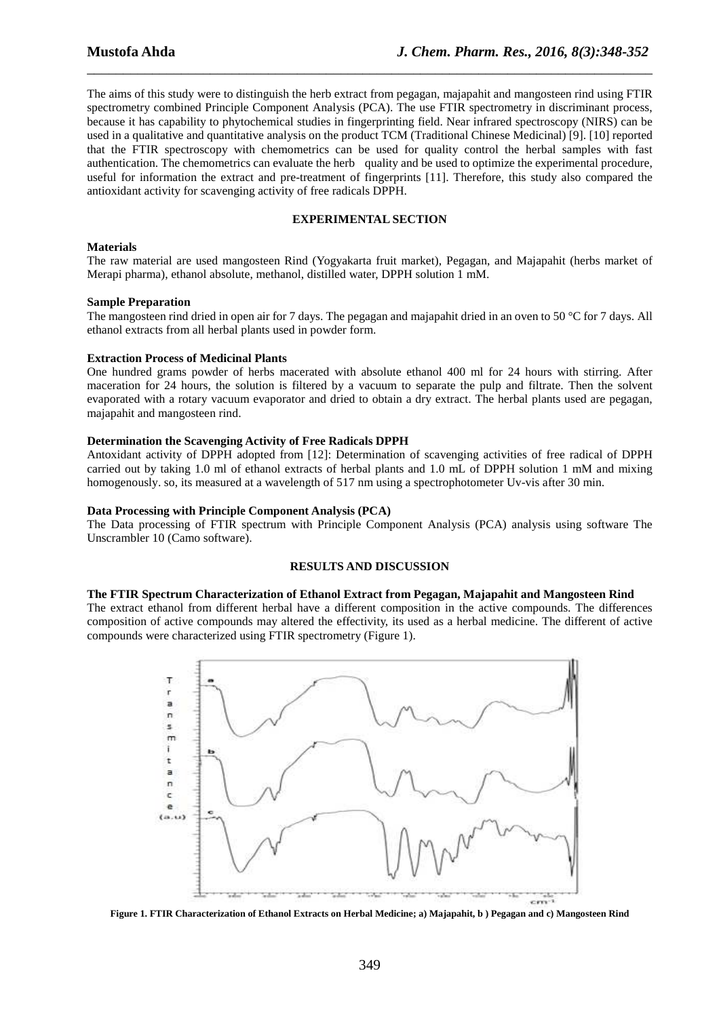The aims of this study were to distinguish the herb extract from pegagan, majapahit and mangosteen rind using FTIR spectrometry combined Principle Component Analysis (PCA). The use FTIR spectrometry in discriminant process, because it has capability to phytochemical studies in fingerprinting field. Near infrared spectroscopy (NIRS) can be used in a qualitative and quantitative analysis on the product TCM (Traditional Chinese Medicinal) [9]. [10] reported that the FTIR spectroscopy with chemometrics can be used for quality control the herbal samples with fast authentication. The chemometrics can evaluate the herb quality and be used to optimize the experimental procedure, useful for information the extract and pre-treatment of fingerprints [11]. Therefore, this study also compared the antioxidant activity for scavenging activity of free radicals DPPH.

\_\_\_\_\_\_\_\_\_\_\_\_\_\_\_\_\_\_\_\_\_\_\_\_\_\_\_\_\_\_\_\_\_\_\_\_\_\_\_\_\_\_\_\_\_\_\_\_\_\_\_\_\_\_\_\_\_\_\_\_\_\_\_\_\_\_\_\_\_\_\_\_\_\_\_\_\_\_

#### **EXPERIMENTAL SECTION**

#### **Materials**

The raw material are used mangosteen Rind (Yogyakarta fruit market), Pegagan, and Majapahit (herbs market of Merapi pharma), ethanol absolute, methanol, distilled water, DPPH solution 1 mM.

#### **Sample Preparation**

The mangosteen rind dried in open air for 7 days. The pegagan and majapahit dried in an oven to 50 °C for 7 days. All ethanol extracts from all herbal plants used in powder form.

#### **Extraction Process of Medicinal Plants**

One hundred grams powder of herbs macerated with absolute ethanol 400 ml for 24 hours with stirring. After maceration for 24 hours, the solution is filtered by a vacuum to separate the pulp and filtrate. Then the solvent evaporated with a rotary vacuum evaporator and dried to obtain a dry extract. The herbal plants used are pegagan, majapahit and mangosteen rind.

#### **Determination the Scavenging Activity of Free Radicals DPPH**

Antoxidant activity of DPPH adopted from [12]: Determination of scavenging activities of free radical of DPPH carried out by taking 1.0 ml of ethanol extracts of herbal plants and 1.0 mL of DPPH solution 1 mM and mixing homogenously. so, its measured at a wavelength of 517 nm using a spectrophotometer Uv-vis after 30 min.

#### **Data Processing with Principle Component Analysis (PCA)**

The Data processing of FTIR spectrum with Principle Component Analysis (PCA) analysis using software The Unscrambler 10 (Camo software).

#### **RESULTS AND DISCUSSION**

#### **The FTIR Spectrum Characterization of Ethanol Extract from Pegagan, Majapahit and Mangosteen Rind**

The extract ethanol from different herbal have a different composition in the active compounds. The differences composition of active compounds may altered the effectivity, its used as a herbal medicine. The different of active compounds were characterized using FTIR spectrometry (Figure 1).



**Figure 1. FTIR Characterization of Ethanol Extracts on Herbal Medicine; a) Majapahit, b ) Pegagan and c) Mangosteen Rind**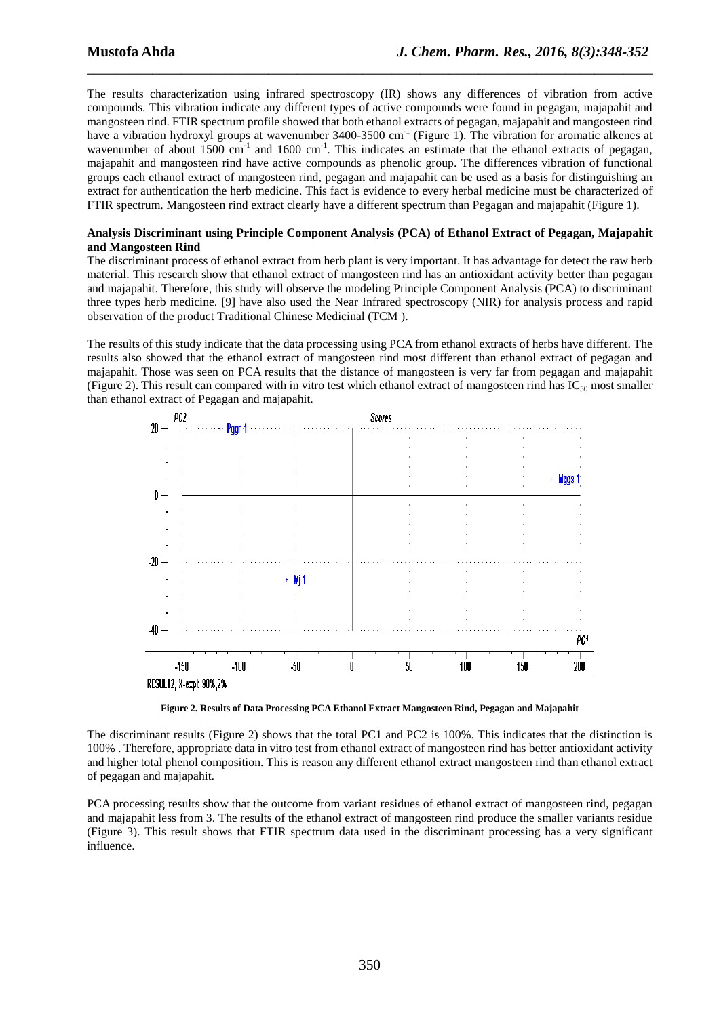The results characterization using infrared spectroscopy (IR) shows any differences of vibration from active compounds. This vibration indicate any different types of active compounds were found in pegagan, majapahit and mangosteen rind. FTIR spectrum profile showed that both ethanol extracts of pegagan, majapahit and mangosteen rind have a vibration hydroxyl groups at wavenumber 3400-3500 cm<sup>-1</sup> (Figure 1). The vibration for aromatic alkenes at wavenumber of about 1500 cm<sup>-1</sup> and 1600 cm<sup>-1</sup>. This indicates an estimate that the ethanol extracts of pegagan, majapahit and mangosteen rind have active compounds as phenolic group. The differences vibration of functional groups each ethanol extract of mangosteen rind, pegagan and majapahit can be used as a basis for distinguishing an extract for authentication the herb medicine. This fact is evidence to every herbal medicine must be characterized of FTIR spectrum. Mangosteen rind extract clearly have a different spectrum than Pegagan and majapahit (Figure 1).

\_\_\_\_\_\_\_\_\_\_\_\_\_\_\_\_\_\_\_\_\_\_\_\_\_\_\_\_\_\_\_\_\_\_\_\_\_\_\_\_\_\_\_\_\_\_\_\_\_\_\_\_\_\_\_\_\_\_\_\_\_\_\_\_\_\_\_\_\_\_\_\_\_\_\_\_\_\_

#### **Analysis Discriminant using Principle Component Analysis (PCA) of Ethanol Extract of Pegagan, Majapahit and Mangosteen Rind**

The discriminant process of ethanol extract from herb plant is very important. It has advantage for detect the raw herb material. This research show that ethanol extract of mangosteen rind has an antioxidant activity better than pegagan and majapahit. Therefore, this study will observe the modeling Principle Component Analysis (PCA) to discriminant three types herb medicine. [9] have also used the Near Infrared spectroscopy (NIR) for analysis process and rapid observation of the product Traditional Chinese Medicinal (TCM ).

The results of this study indicate that the data processing using PCA from ethanol extracts of herbs have different. The results also showed that the ethanol extract of mangosteen rind most different than ethanol extract of pegagan and majapahit. Those was seen on PCA results that the distance of mangosteen is very far from pegagan and majapahit (Figure 2). This result can compared with in vitro test which ethanol extract of mangosteen rind has  $IC_{50}$  most smaller than ethanol extract of Pegagan and majapahit.



**Figure 2. Results of Data Processing PCA Ethanol Extract Mangosteen Rind, Pegagan and Majapahit** 

The discriminant results (Figure 2) shows that the total PC1 and PC2 is 100%. This indicates that the distinction is 100% . Therefore, appropriate data in vitro test from ethanol extract of mangosteen rind has better antioxidant activity and higher total phenol composition. This is reason any different ethanol extract mangosteen rind than ethanol extract of pegagan and majapahit.

PCA processing results show that the outcome from variant residues of ethanol extract of mangosteen rind, pegagan and majapahit less from 3. The results of the ethanol extract of mangosteen rind produce the smaller variants residue (Figure 3). This result shows that FTIR spectrum data used in the discriminant processing has a very significant influence.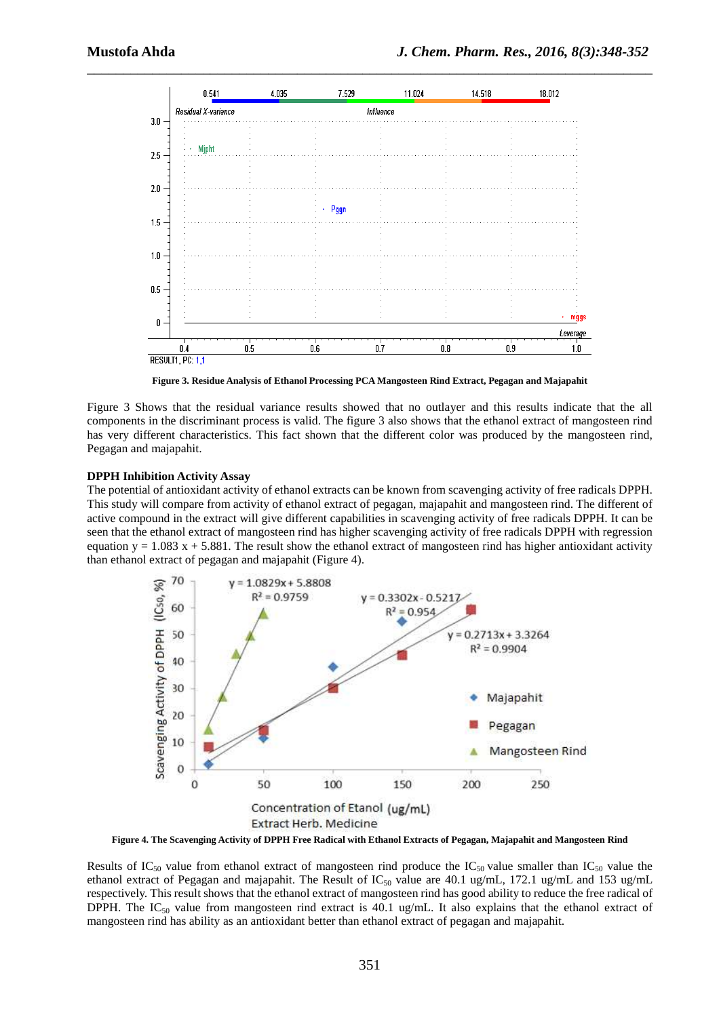

**Figure 3. Residue Analysis of Ethanol Processing PCA Mangosteen Rind Extract, Pegagan and Majapahit** 

Figure 3 Shows that the residual variance results showed that no outlayer and this results indicate that the all components in the discriminant process is valid. The figure 3 also shows that the ethanol extract of mangosteen rind has very different characteristics. This fact shown that the different color was produced by the mangosteen rind, Pegagan and majapahit.

#### **DPPH Inhibition Activity Assay**

The potential of antioxidant activity of ethanol extracts can be known from scavenging activity of free radicals DPPH. This study will compare from activity of ethanol extract of pegagan, majapahit and mangosteen rind. The different of active compound in the extract will give different capabilities in scavenging activity of free radicals DPPH. It can be seen that the ethanol extract of mangosteen rind has higher scavenging activity of free radicals DPPH with regression equation  $y = 1.083 x + 5.881$ . The result show the ethanol extract of mangosteen rind has higher antioxidant activity than ethanol extract of pegagan and majapahit (Figure 4).



**Figure 4. The Scavenging Activity of DPPH Free Radical with Ethanol Extracts of Pegagan, Majapahit and Mangosteen Rind** 

Results of  $IC_{50}$  value from ethanol extract of mangosteen rind produce the  $IC_{50}$  value smaller than  $IC_{50}$  value the ethanol extract of Pegagan and majapahit. The Result of  $IC_{50}$  value are 40.1 ug/mL, 172.1 ug/mL and 153 ug/mL respectively. This result shows that the ethanol extract of mangosteen rind has good ability to reduce the free radical of DPPH. The IC<sub>50</sub> value from mangosteen rind extract is 40.1 ug/mL. It also explains that the ethanol extract of mangosteen rind has ability as an antioxidant better than ethanol extract of pegagan and majapahit.